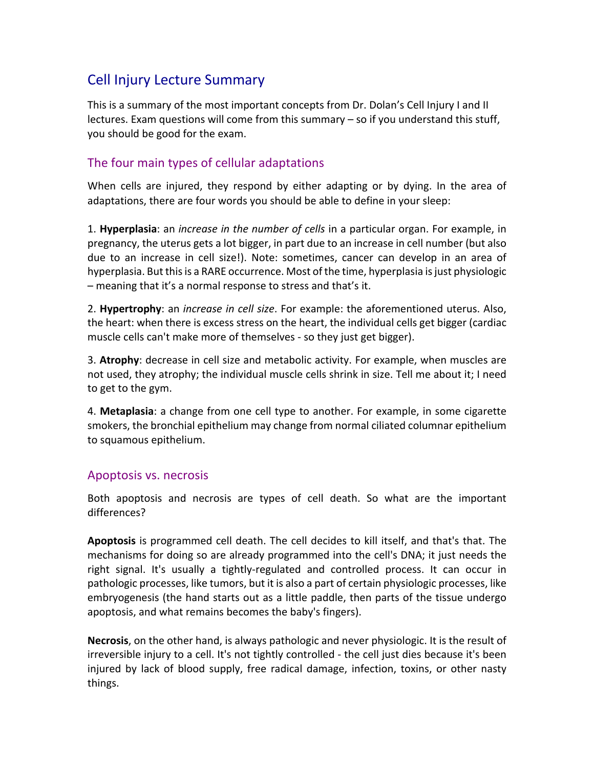# Cell Injury Lecture Summary

This is a summary of the most important concepts from Dr. Dolan's Cell Injury I and II lectures. Exam questions will come from this summary – so if you understand this stuff, you should be good for the exam.

### The four main types of cellular adaptations

When cells are injured, they respond by either adapting or by dying. In the area of adaptations, there are four words you should be able to define in your sleep:

1. **Hyperplasia**: an *increase in the number of cells* in a particular organ. For example, in pregnancy, the uterus gets a lot bigger, in part due to an increase in cell number (but also due to an increase in cell size!). Note: sometimes, cancer can develop in an area of hyperplasia. But this is a RARE occurrence. Most of the time, hyperplasia is just physiologic – meaning that it's a normal response to stress and that's it.

2. **Hypertrophy**: an *increase in cell size*. For example: the aforementioned uterus. Also, the heart: when there is excess stress on the heart, the individual cells get bigger (cardiac muscle cells can't make more of themselves - so they just get bigger).

3. **Atrophy**: decrease in cell size and metabolic activity. For example, when muscles are not used, they atrophy; the individual muscle cells shrink in size. Tell me about it; I need to get to the gym.

4. **Metaplasia**: a change from one cell type to another. For example, in some cigarette smokers, the bronchial epithelium may change from normal ciliated columnar epithelium to squamous epithelium.

### Apoptosis vs. necrosis

Both apoptosis and necrosis are types of cell death. So what are the important differences?

**Apoptosis** is programmed cell death. The cell decides to kill itself, and that's that. The mechanisms for doing so are already programmed into the cell's DNA; it just needs the right signal. It's usually a tightly-regulated and controlled process. It can occur in pathologic processes, like tumors, but it is also a part of certain physiologic processes, like embryogenesis (the hand starts out as a little paddle, then parts of the tissue undergo apoptosis, and what remains becomes the baby's fingers).

**Necrosis**, on the other hand, is always pathologic and never physiologic. It is the result of irreversible injury to a cell. It's not tightly controlled - the cell just dies because it's been injured by lack of blood supply, free radical damage, infection, toxins, or other nasty things.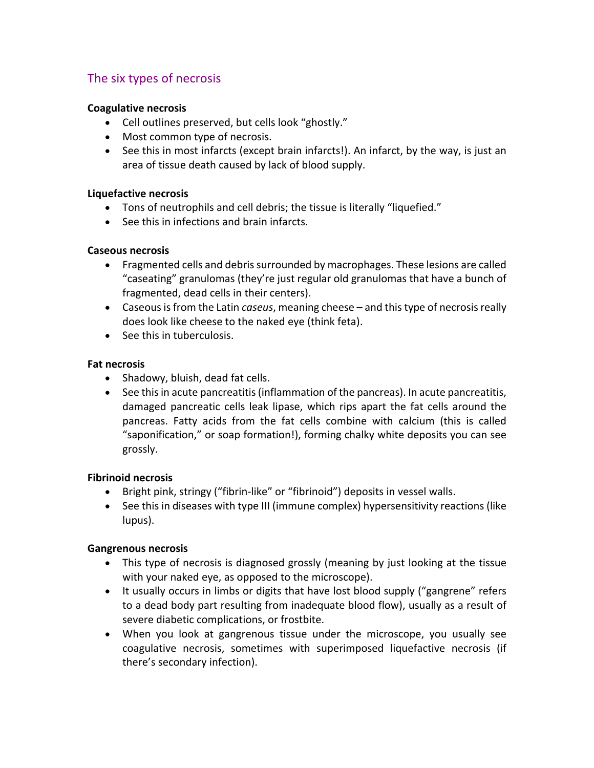# The six types of necrosis

### **Coagulative necrosis**

- Cell outlines preserved, but cells look "ghostly."
- Most common type of necrosis.
- See this in most infarcts (except brain infarcts!). An infarct, by the way, is just an area of tissue death caused by lack of blood supply.

### **Liquefactive necrosis**

- Tons of neutrophils and cell debris; the tissue is literally "liquefied."
- See this in infections and brain infarcts.

### **Caseous necrosis**

- Fragmented cells and debris surrounded by macrophages. These lesions are called "caseating" granulomas (they're just regular old granulomas that have a bunch of fragmented, dead cells in their centers).
- Caseous is from the Latin *caseus*, meaning cheese and this type of necrosis really does look like cheese to the naked eye (think feta).
- See this in tuberculosis.

### **Fat necrosis**

- Shadowy, bluish, dead fat cells.
- See this in acute pancreatitis (inflammation of the pancreas). In acute pancreatitis, damaged pancreatic cells leak lipase, which rips apart the fat cells around the pancreas. Fatty acids from the fat cells combine with calcium (this is called "saponification," or soap formation!), forming chalky white deposits you can see grossly.

### **Fibrinoid necrosis**

- Bright pink, stringy ("fibrin-like" or "fibrinoid") deposits in vessel walls.
- See this in diseases with type III (immune complex) hypersensitivity reactions (like lupus).

### **Gangrenous necrosis**

- This type of necrosis is diagnosed grossly (meaning by just looking at the tissue with your naked eye, as opposed to the microscope).
- It usually occurs in limbs or digits that have lost blood supply ("gangrene" refers to a dead body part resulting from inadequate blood flow), usually as a result of severe diabetic complications, or frostbite.
- When you look at gangrenous tissue under the microscope, you usually see coagulative necrosis, sometimes with superimposed liquefactive necrosis (if there's secondary infection).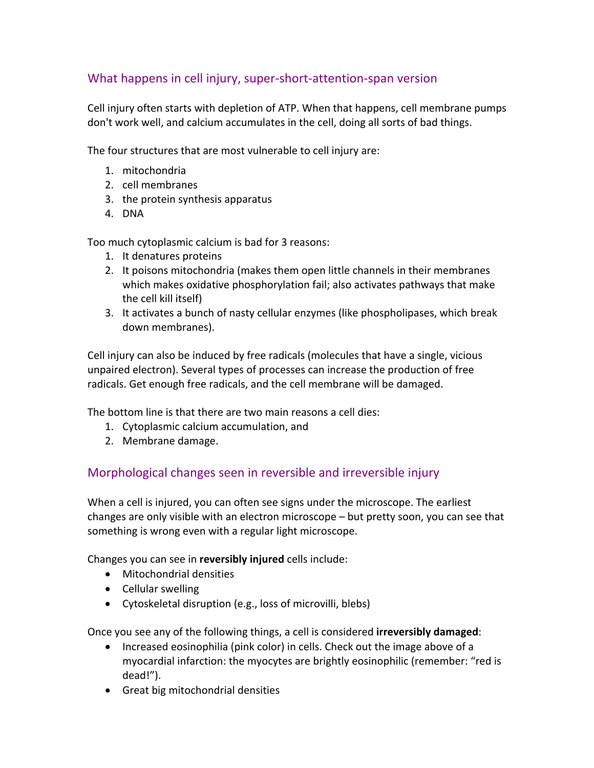# What happens in cell injury, super-short-attention-span version

Cell injury often starts with depletion of ATP. When that happens, cell membrane pumps don't work well, and calcium accumulates in the cell, doing all sorts of bad things.

The four structures that are most vulnerable to cell injury are:

- 1. mitochondria
- 2. cell membranes
- 3. the protein synthesis apparatus
- 4. DNA

Too much cytoplasmic calcium is bad for 3 reasons:

- 1. It denatures proteins
- 2. It poisons mitochondria (makes them open little channels in their membranes which makes oxidative phosphorylation fail; also activates pathways that make the cell kill itself)
- 3. It activates a bunch of nasty cellular enzymes (like phospholipases, which break down membranes).

Cell injury can also be induced by free radicals (molecules that have a single, vicious unpaired electron). Several types of processes can increase the production of free radicals. Get enough free radicals, and the cell membrane will be damaged.

The bottom line is that there are two main reasons a cell dies:

- 1. Cytoplasmic calcium accumulation, and
- 2. Membrane damage.

### Morphological changes seen in reversible and irreversible injury

When a cell is injured, you can often see signs under the microscope. The earliest changes are only visible with an electron microscope – but pretty soon, you can see that something is wrong even with a regular light microscope.

Changes you can see in **reversibly injured** cells include:

- Mitochondrial densities
- Cellular swelling
- Cytoskeletal disruption (e.g., loss of microvilli, blebs)

Once you see any of the following things, a cell is considered **irreversibly damaged**:

- Increased eosinophilia (pink color) in cells. Check out the image above of a myocardial infarction: the myocytes are brightly eosinophilic (remember: "red is dead!").
- Great big mitochondrial densities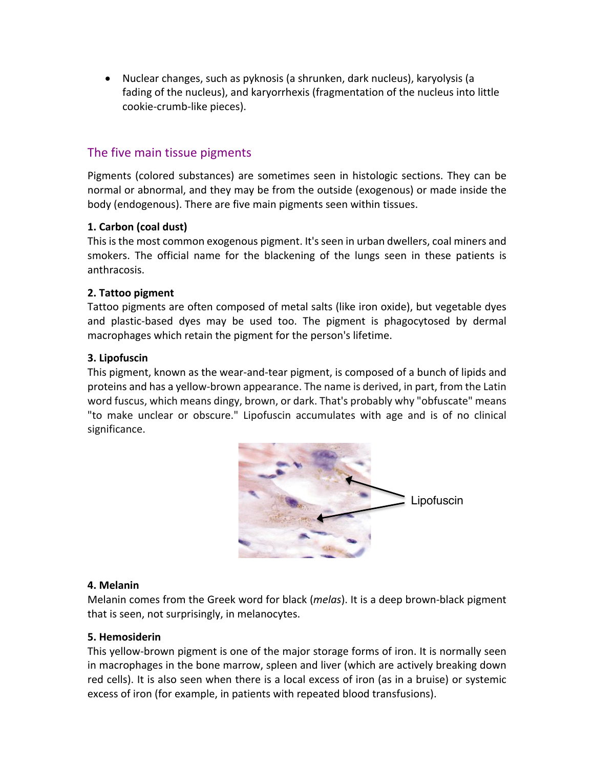• Nuclear changes, such as pyknosis (a shrunken, dark nucleus), karyolysis (a fading of the nucleus), and karyorrhexis (fragmentation of the nucleus into little cookie-crumb-like pieces).

### The five main tissue pigments

Pigments (colored substances) are sometimes seen in histologic sections. They can be normal or abnormal, and they may be from the outside (exogenous) or made inside the body (endogenous). There are five main pigments seen within tissues.

### **1. Carbon (coal dust)**

This is the most common exogenous pigment. It's seen in urban dwellers, coal miners and smokers. The official name for the blackening of the lungs seen in these patients is anthracosis.

#### **2. Tattoo pigment**

Tattoo pigments are often composed of metal salts (like iron oxide), but vegetable dyes and plastic-based dyes may be used too. The pigment is phagocytosed by dermal macrophages which retain the pigment for the person's lifetime.

### **3. Lipofuscin**

This pigment, known as the wear-and-tear pigment, is composed of a bunch of lipids and proteins and has a yellow-brown appearance. The name is derived, in part, from the Latin word fuscus, which means dingy, brown, or dark. That's probably why "obfuscate" means "to make unclear or obscure." Lipofuscin accumulates with age and is of no clinical significance.



#### **4. Melanin**

Melanin comes from the Greek word for black (*melas*). It is a deep brown-black pigment that is seen, not surprisingly, in melanocytes.

#### **5. Hemosiderin**

This yellow-brown pigment is one of the major storage forms of iron. It is normally seen in macrophages in the bone marrow, spleen and liver (which are actively breaking down red cells). It is also seen when there is a local excess of iron (as in a bruise) or systemic excess of iron (for example, in patients with repeated blood transfusions).